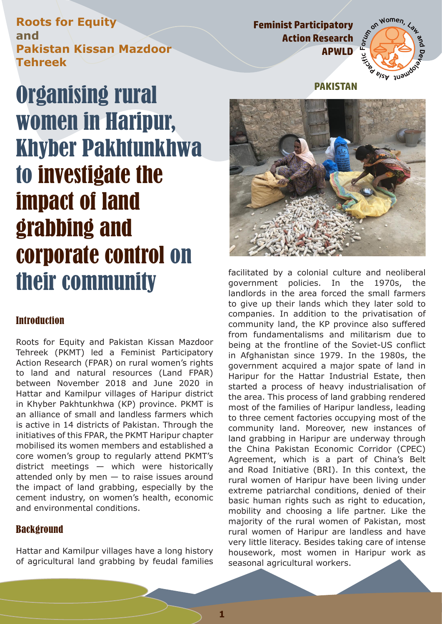**Roots for Equity and Pakistan Kissan Mazdoor Tehreek** 

## **Feminist Participatory** and Women,  $\zeta_{\delta_{\mu}}$ **Action Research APWLD**



# Organising rural women in Haripur, Khyber Pakhtunkhwa to investigate the impact of land grabbing and corporate control on their community

#### **Introduction**

Roots for Equity and Pakistan Kissan Mazdoor Tehreek (PKMT) led a Feminist Participatory Action Research (FPAR) on rural women's rights to land and natural resources (Land FPAR) between November 2018 and June 2020 in Hattar and Kamilpur villages of Haripur district in Khyber Pakhtunkhwa (KP) province. PKMT is an alliance of small and landless farmers which is active in 14 districts of Pakistan. Through the initiatives of this FPAR, the PKMT Haripur chapter mobilised its women members and established a core women's group to regularly attend PKMT's district meetings — which were historically attended only by men  $-$  to raise issues around the impact of land grabbing, especially by the cement industry, on women's health, economic and environmental conditions.

### **Background**

Hattar and Kamilpur villages have a long history of agricultural land grabbing by feudal families

**PAKISTAN**



facilitated by a colonial culture and neoliberal government policies. In the 1970s, the landlords in the area forced the small farmers to give up their lands which they later sold to companies. In addition to the privatisation of community land, the KP province also suffered from fundamentalisms and militarism due to being at the frontline of the Soviet-US conflict in Afghanistan since 1979. In the 1980s, the government acquired a major spate of land in Haripur for the Hattar Industrial Estate, then started a process of heavy industrialisation of the area. This process of land grabbing rendered most of the families of Haripur landless, leading to three cement factories occupying most of the community land. Moreover, new instances of land grabbing in Haripur are underway through the China Pakistan Economic Corridor (CPEC) Agreement, which is a part of China's Belt and Road Initiative (BRI). In this context, the rural women of Haripur have been living under extreme patriarchal conditions, denied of their basic human rights such as right to education, mobility and choosing a life partner. Like the majority of the rural women of Pakistan, most rural women of Haripur are landless and have very little literacy. Besides taking care of intense housework, most women in Haripur work as seasonal agricultural workers.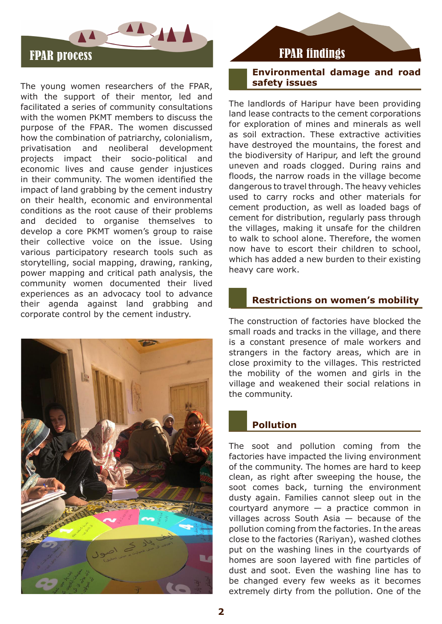

The young women researchers of the FPAR, with the support of their mentor, led and facilitated a series of community consultations with the women PKMT members to discuss the purpose of the FPAR. The women discussed how the combination of patriarchy, colonialism, privatisation and neoliberal development projects impact their socio-political and economic lives and cause gender injustices in their community. The women identified the impact of land grabbing by the cement industry on their health, economic and environmental conditions as the root cause of their problems and decided to organise themselves to develop a core PKMT women's group to raise their collective voice on the issue. Using various participatory research tools such as storytelling, social mapping, drawing, ranking, power mapping and critical path analysis, the community women documented their lived experiences as an advocacy tool to advance their agenda against land grabbing and corporate control by the cement industry.



#### **Environmental damage and road safety issues**

The landlords of Haripur have been providing land lease contracts to the cement corporations for exploration of mines and minerals as well as soil extraction. These extractive activities have destroyed the mountains, the forest and the biodiversity of Haripur, and left the ground uneven and roads clogged. During rains and floods, the narrow roads in the village become dangerous to travel through. The heavy vehicles used to carry rocks and other materials for cement production, as well as loaded bags of cement for distribution, regularly pass through the villages, making it unsafe for the children to walk to school alone. Therefore, the women now have to escort their children to school, which has added a new burden to their existing heavy care work.

#### **Restrictions on women's mobility**

The construction of factories have blocked the small roads and tracks in the village, and there is a constant presence of male workers and strangers in the factory areas, which are in close proximity to the villages. This restricted the mobility of the women and girls in the village and weakened their social relations in the community.

#### **Pollution**

The soot and pollution coming from the factories have impacted the living environment of the community. The homes are hard to keep clean, as right after sweeping the house, the soot comes back, turning the environment dusty again. Families cannot sleep out in the courtyard anymore — a practice common in villages across South Asia — because of the pollution coming from the factories. In the areas close to the factories (Rariyan), washed clothes put on the washing lines in the courtyards of homes are soon layered with fine particles of dust and soot. Even the washing line has to be changed every few weeks as it becomes extremely dirty from the pollution. One of the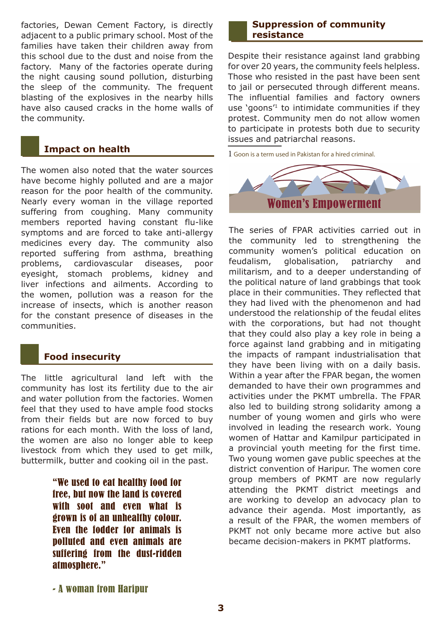factories, Dewan Cement Factory, is directly adjacent to a public primary school. Most of the families have taken their children away from this school due to the dust and noise from the factory. Many of the factories operate during the night causing sound pollution, disturbing the sleep of the community. The frequent blasting of the explosives in the nearby hills have also caused cracks in the home walls of the community.

#### **Impact on health**

The women also noted that the water sources have become highly polluted and are a major reason for the poor health of the community. Nearly every woman in the village reported suffering from coughing. Many community members reported having constant flu-like symptoms and are forced to take anti-allergy medicines every day. The community also reported suffering from asthma, breathing problems, cardiovascular diseases, poor eyesight, stomach problems, kidney and liver infections and ailments. According to the women, pollution was a reason for the increase of insects, which is another reason for the constant presence of diseases in the communities.

#### **Food insecurity**

The little agricultural land left with the community has lost its fertility due to the air and water pollution from the factories. Women feel that they used to have ample food stocks from their fields but are now forced to buy rations for each month. With the loss of land, the women are also no longer able to keep livestock from which they used to get milk, buttermilk, butter and cooking oil in the past.

> "We used to eat healthy food for free, but now the land is covered with soot and even what is grown is of an unhealthy colour. Even the fodder for animals is polluted and even animals are suffering from the dust-ridden atmosphere."

#### **Suppression of community resistance**

Despite their resistance against land grabbing for over 20 years, the community feels helpless. Those who resisted in the past have been sent to jail or persecuted through different means. The influential families and factory owners use 'goons'1 to intimidate communities if they protest. Community men do not allow women to participate in protests both due to security issues and patriarchal reasons.

1 Goon is a term used in Pakistan for a hired criminal.



The series of FPAR activities carried out in the community led to strengthening the community women's political education on feudalism, globalisation, patriarchy and militarism, and to a deeper understanding of the political nature of land grabbings that took place in their communities. They reflected that they had lived with the phenomenon and had understood the relationship of the feudal elites with the corporations, but had not thought that they could also play a key role in being a force against land grabbing and in mitigating the impacts of rampant industrialisation that they have been living with on a daily basis. Within a year after the FPAR began, the women demanded to have their own programmes and activities under the PKMT umbrella. The FPAR also led to building strong solidarity among a number of young women and girls who were involved in leading the research work. Young women of Hattar and Kamilpur participated in a provincial youth meeting for the first time. Two young women gave public speeches at the district convention of Haripur. The women core group members of PKMT are now regularly attending the PKMT district meetings and are working to develop an advocacy plan to advance their agenda. Most importantly, as a result of the FPAR, the women members of PKMT not only became more active but also became decision-makers in PKMT platforms.

<sup>-</sup> A woman from Haripur